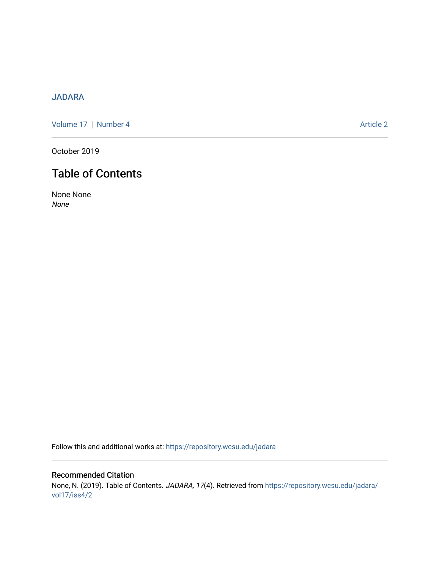## [JADARA](https://repository.wcsu.edu/jadara)

[Volume 17](https://repository.wcsu.edu/jadara/vol17) | [Number 4](https://repository.wcsu.edu/jadara/vol17/iss4) Article 2

October 2019

# Table of Contents

None None None

Follow this and additional works at: [https://repository.wcsu.edu/jadara](https://repository.wcsu.edu/jadara?utm_source=repository.wcsu.edu%2Fjadara%2Fvol17%2Fiss4%2F2&utm_medium=PDF&utm_campaign=PDFCoverPages)

Recommended Citation None, N. (2019). Table of Contents. JADARA, 17(4). Retrieved from [https://repository.wcsu.edu/jadara/](https://repository.wcsu.edu/jadara/vol17/iss4/2?utm_source=repository.wcsu.edu%2Fjadara%2Fvol17%2Fiss4%2F2&utm_medium=PDF&utm_campaign=PDFCoverPages) [vol17/iss4/2](https://repository.wcsu.edu/jadara/vol17/iss4/2?utm_source=repository.wcsu.edu%2Fjadara%2Fvol17%2Fiss4%2F2&utm_medium=PDF&utm_campaign=PDFCoverPages)